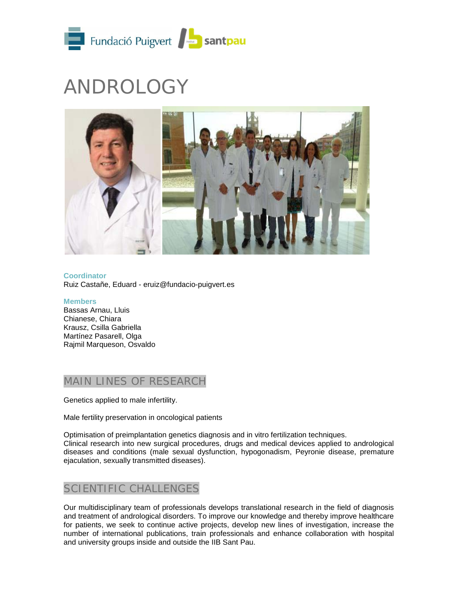

# ANDROLOGY



**Coordinator** Ruiz Castañe, Eduard - eruiz@fundacio-puigvert.es

#### **Members** Bassas Arnau, Lluis Chianese, Chiara Krausz, Csilla Gabriella Martínez Pasarell, Olga Rajmil Marqueson, Osvaldo

# MAIN LINES OF RESEARCH

Genetics applied to male infertility.

Male fertility preservation in oncological patients

Optimisation of preimplantation genetics diagnosis and in vitro fertilization techniques. Clinical research into new surgical procedures, drugs and medical devices applied to andrological diseases and conditions (male sexual dysfunction, hypogonadism, Peyronie disease, premature ejaculation, sexually transmitted diseases).

# SCIENTIFIC CHALLENGES

Our multidisciplinary team of professionals develops translational research in the field of diagnosis and treatment of andrological disorders. To improve our knowledge and thereby improve healthcare for patients, we seek to continue active projects, develop new lines of investigation, increase the number of international publications, train professionals and enhance collaboration with hospital and university groups inside and outside the IIB Sant Pau.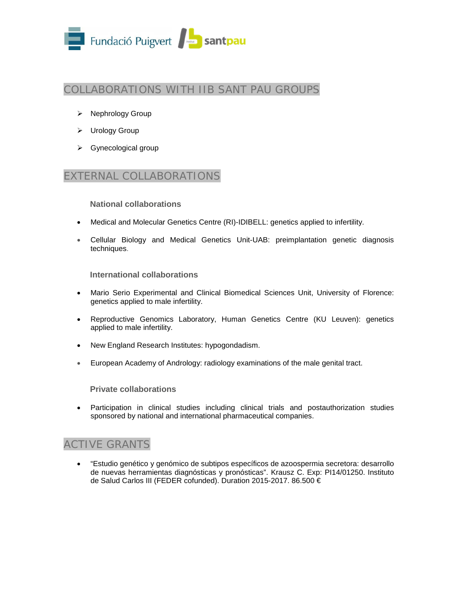

# COLLABORATIONS WITH IIB SANT PAU GROUPS

- $\triangleright$  Nephrology Group
- > Urology Group
- $\triangleright$  Gynecological group

### EXTERNAL COLLABORATIONS

**National collaborations**

- Medical and Molecular Genetics Centre (RI)-IDIBELL: genetics applied to infertility.
- Cellular Biology and Medical Genetics Unit-UAB: preimplantation genetic diagnosis techniques.

**International collaborations**

- Mario Serio Experimental and Clinical Biomedical Sciences Unit, University of Florence: genetics applied to male infertility.
- Reproductive Genomics Laboratory, Human Genetics Centre (KU Leuven): genetics applied to male infertility.
- New England Research Institutes: hypogondadism.
- European Academy of Andrology: radiology examinations of the male genital tract.

**Private collaborations**

• Participation in clinical studies including clinical trials and postauthorization studies sponsored by national and international pharmaceutical companies.

# ACTIVE GRANTS

• "Estudio genético y genómico de subtipos específicos de azoospermia secretora: desarrollo de nuevas herramientas diagnósticas y pronósticas". Krausz C. Exp: PI14/01250. Instituto de Salud Carlos III (FEDER cofunded). Duration 2015-2017. 86.500 €